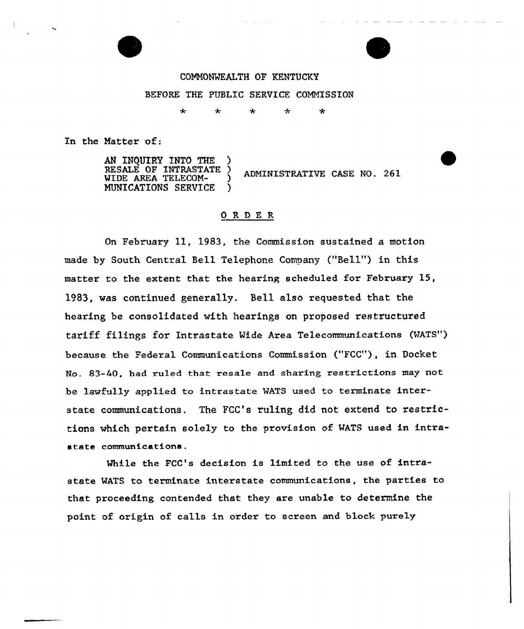

COMMONWEALTH OF KENTUCKY BEFORE THE PUBLIC SERVICE COMMISSION

⊀

 $\star$ 

In the Matter of:

AN INQUIRY INTO THE )<br>RESALE OF INTRASTATE ) WIDE AREA TELECOM- )<br>MUNICATIONS SERVICE ) ADMINISTRATIVE CASE NO. 261 NUNICATIONS SERVICE )

## ORDER

On February 11, 19S3, the Commission sustained a motion made by South Central Bell Telephone Company ("Bell") in this matter to the extent that the hearing scheduled for February 15, 1983, was continued generally. Bell also requested that the hearing be consolidated with hearings on proposed restructured tariff filings for Intrastate Vide Area Telecommunications (MATS" ) because the Federal Communications Commission ("FCC"), in Oocket No. 83-40, had ruled that resale and sharing restrictions may not be lawfully applied to intrastate MATS used to terminate interstate communications. The FCC's ruling did not extend to restrictions which pertain solely to the provision of MATS used in intrastate communications.

Mhile the FCC's decision is limited to the use of intrastate WATS to terminate interstate communications, the parties to that proceeding contended that they are unable to determine the point of origin of calls in order to screen and block purely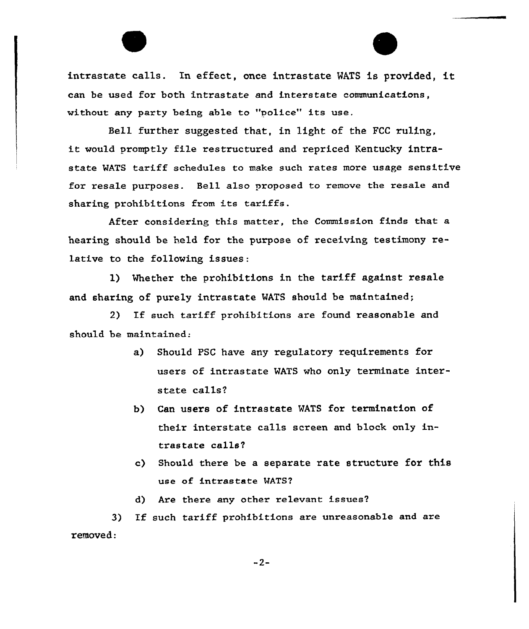intrastate calls. In effect, once intrastate WATS is provided, can be used for both intrastate and interstate communications, without any paxty being able to "police" its use,

Bell further suggested that, in light of the FCC ruling, it would promptly file restructured and repriced Kentucky intrastate WATS tariff schedules to make such rates more usage sensitive for resale purposes. Bell also proposed to remove the resale and sharing prohibitions from its tariffs.

After considering this matter, the Commission finds that a hearing should be held for the purpose of receiving testimony relative to the following issues:

l) Whether the prohibitions in the tariff against resale and sharing of purely intrastate WATS should be maintained;

2) If such tariff prohibitions are found reasonable and should be maintained:

- a) Should PSC have any regulatory requirements for users of intrastate WATS who only terminate interstate calls?
- b) Can users of intrastate WATS for termination of their interstate calls screen and block only intrastate calls?
- c) Should thexe be a separate rate structure for this use of intrastate WATS?
- d) Are there any other relevant issues?

3) If such tariff pxohibitions axe unreasonable and axe removed:

 $-2-$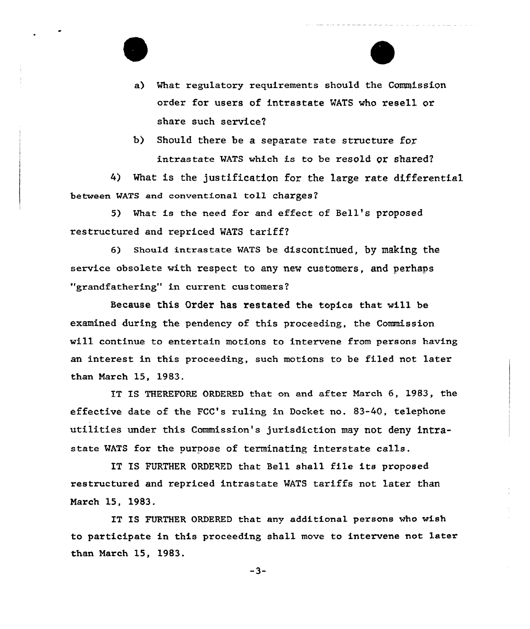

b) Should there be a separate rate structure for WATS which is to be resold or shared

4) What is the justification for the large rate differential between WATS and conventional toll charges?

5) What is the need for and effect of Bell's proposed restructured and repriced WATS tariff?

6) Should intrastate WATS be discontinued, by making the service obsolete with respect to any new customers, and perhaps "grandfathering" in current customers?

Because this Order has restated the topics that will be examined during the pendency of this proceeding, the Commission will continue to entertain motions to intervene from persons having an interest in this proceeding, such motions to be filed not later than March 15, 1983.

IT IS THEREFORE ORDERED that on and after March 6, 1983, the effective date of the FCC's ruling in Docket no. 83-40, telephone utilities under this Commission's jurisdiction may not deny intrastate MATS for the purpose of terminating interstate calls.

IT TS FURTHER QRDERED that Bell shall file its proposed restructured and repriced intrastate MATS tariffs not later than March 15, 1983.

IT IS FURTHER ORDERED that any additional persons who wish to participate in this proceeding shall move to intervene not latex than March 15, 1983.

 $-3-$